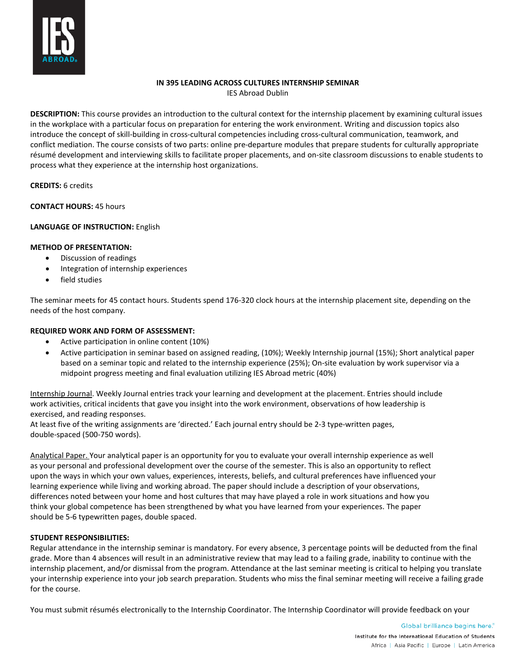

# **IN 395 LEADING ACROSS CULTURES INTERNSHIP SEMINAR**

IES Abroad Dublin

**DESCRIPTION:** This course provides an introduction to the cultural context for the internship placement by examining cultural issues in the workplace with a particular focus on preparation for entering the work environment. Writing and discussion topics also introduce the concept of skill-building in cross-cultural competencies including cross-cultural communication, teamwork, and conflict mediation. The course consists of two parts: online pre-departure modules that prepare students for culturally appropriate résumé development and interviewing skills to facilitate proper placements, and on-site classroom discussions to enable students to process what they experience at the internship host organizations.

**CREDITS:** 6 credits

**CONTACT HOURS:** 45 hours

# **LANGUAGE OF INSTRUCTION:** English

#### **METHOD OF PRESENTATION:**

- Discussion of readings
- Integration of internship experiences
- field studies

The seminar meets for 45 contact hours. Students spend 176-320 clock hours at the internship placement site, depending on the needs of the host company.

#### **REQUIRED WORK AND FORM OF ASSESSMENT:**

- Active participation in online content (10%)
- Active participation in seminar based on assigned reading, (10%); Weekly Internship journal (15%); Short analytical paper based on a seminar topic and related to the internship experience (25%); On-site evaluation by work supervisor via a midpoint progress meeting and final evaluation utilizing IES Abroad metric (40%)

Internship Journal. Weekly Journal entries track your learning and development at the placement. Entries should include work activities, critical incidents that gave you insight into the work environment, observations of how leadership is exercised, and reading responses.

At least five of the writing assignments are 'directed.' Each journal entry should be 2-3 type-written pages, double-spaced (500-750 words).

Analytical Paper. Your analytical paper is an opportunity for you to evaluate your overall internship experience as well as your personal and professional development over the course of the semester. This is also an opportunity to reflect upon the ways in which your own values, experiences, interests, beliefs, and cultural preferences have influenced your learning experience while living and working abroad. The paper should include a description of your observations, differences noted between your home and host cultures that may have played a role in work situations and how you think your global competence has been strengthened by what you have learned from your experiences. The paper should be 5-6 typewritten pages, double spaced.

#### **STUDENT RESPONSIBILITIES:**

Regular attendance in the internship seminar is mandatory. For every absence, 3 percentage points will be deducted from the final grade. More than 4 absences will result in an administrative review that may lead to a failing grade, inability to continue with the internship placement, and/or dismissal from the program. Attendance at the last seminar meeting is critical to helping you translate your internship experience into your job search preparation. Students who miss the final seminar meeting will receive a failing grade for the course.

You must submit résumés electronically to the Internship Coordinator. The Internship Coordinator will provide feedback on your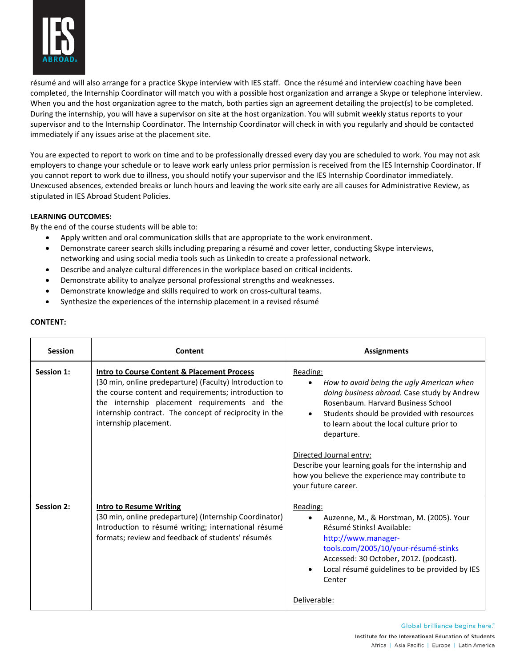

résumé and will also arrange for a practice Skype interview with IES staff. Once the résumé and interview coaching have been completed, the Internship Coordinator will match you with a possible host organization and arrange a Skype or telephone interview. When you and the host organization agree to the match, both parties sign an agreement detailing the project(s) to be completed. During the internship, you will have a supervisor on site at the host organization. You will submit weekly status reports to your supervisor and to the Internship Coordinator. The Internship Coordinator will check in with you regularly and should be contacted immediately if any issues arise at the placement site.

You are expected to report to work on time and to be professionally dressed every day you are scheduled to work. You may not ask employers to change your schedule or to leave work early unless prior permission is received from the IES Internship Coordinator. If you cannot report to work due to illness, you should notify your supervisor and the IES Internship Coordinator immediately. Unexcused absences, extended breaks or lunch hours and leaving the work site early are all causes for Administrative Review, as stipulated in IES Abroad Student Policies.

# **LEARNING OUTCOMES:**

By the end of the course students will be able to:

- Apply written and oral communication skills that are appropriate to the work environment.
- Demonstrate career search skills including preparing a résumé and cover letter, conducting Skype interviews, networking and using social media tools such as LinkedIn to create a professional network.
- Describe and analyze cultural differences in the workplace based on critical incidents.
- Demonstrate ability to analyze personal professional strengths and weaknesses.
- Demonstrate knowledge and skills required to work on cross-cultural teams.
- Synthesize the experiences of the internship placement in a revised résumé

| <b>Session</b>    | Content                                                                                                                                                                                                                                                                                                       | <b>Assignments</b>                                                                                                                                                                                                                                                                                                                                                                                                            |
|-------------------|---------------------------------------------------------------------------------------------------------------------------------------------------------------------------------------------------------------------------------------------------------------------------------------------------------------|-------------------------------------------------------------------------------------------------------------------------------------------------------------------------------------------------------------------------------------------------------------------------------------------------------------------------------------------------------------------------------------------------------------------------------|
| <b>Session 1:</b> | <b>Intro to Course Content &amp; Placement Process</b><br>(30 min, online predeparture) (Faculty) Introduction to<br>the course content and requirements; introduction to<br>the internship placement requirements and the<br>internship contract. The concept of reciprocity in the<br>internship placement. | Reading:<br>How to avoid being the ugly American when<br>doing business abroad. Case study by Andrew<br>Rosenbaum, Harvard Business School<br>Students should be provided with resources<br>$\bullet$<br>to learn about the local culture prior to<br>departure.<br>Directed Journal entry:<br>Describe your learning goals for the internship and<br>how you believe the experience may contribute to<br>your future career. |
| <b>Session 2:</b> | <b>Intro to Resume Writing</b><br>(30 min, online predeparture) (Internship Coordinator)<br>Introduction to résumé writing; international résumé<br>formats; review and feedback of students' résumés                                                                                                         | Reading:<br>Auzenne, M., & Horstman, M. (2005). Your<br>Résumé Stinks! Available:<br>http://www.manager-<br>tools.com/2005/10/your-résumé-stinks<br>Accessed: 30 October, 2012. (podcast).<br>Local résumé guidelines to be provided by IES<br>Center<br>Deliverable:                                                                                                                                                         |

# **CONTENT:**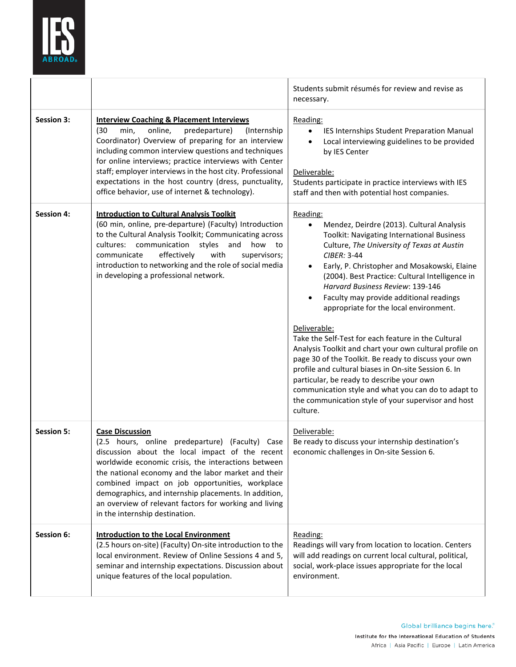

|                   |                                                                                                                                                                                                                                                                                                                                                                                                                                                                  | Students submit résumés for review and revise as<br>necessary.                                                                                                                                                                                                                                                                                                                                                                                                                                                                                                                                                                                                                                                                                                                                                                                  |
|-------------------|------------------------------------------------------------------------------------------------------------------------------------------------------------------------------------------------------------------------------------------------------------------------------------------------------------------------------------------------------------------------------------------------------------------------------------------------------------------|-------------------------------------------------------------------------------------------------------------------------------------------------------------------------------------------------------------------------------------------------------------------------------------------------------------------------------------------------------------------------------------------------------------------------------------------------------------------------------------------------------------------------------------------------------------------------------------------------------------------------------------------------------------------------------------------------------------------------------------------------------------------------------------------------------------------------------------------------|
| <b>Session 3:</b> | <b>Interview Coaching &amp; Placement Interviews</b><br>min,<br>online,<br>predeparture)<br>(Internship<br>(30)<br>Coordinator) Overview of preparing for an interview<br>including common interview questions and techniques<br>for online interviews; practice interviews with Center<br>staff; employer interviews in the host city. Professional<br>expectations in the host country (dress, punctuality,<br>office behavior, use of internet & technology). | Reading:<br>IES Internships Student Preparation Manual<br>$\bullet$<br>Local interviewing guidelines to be provided<br>by IES Center<br>Deliverable:<br>Students participate in practice interviews with IES<br>staff and then with potential host companies.                                                                                                                                                                                                                                                                                                                                                                                                                                                                                                                                                                                   |
| <b>Session 4:</b> | <b>Introduction to Cultural Analysis Toolkit</b><br>(60 min, online, pre-departure) (Faculty) Introduction<br>to the Cultural Analysis Toolkit; Communicating across<br>cultures: communication<br>styles<br>and<br>how to<br>effectively<br>with<br>communicate<br>supervisors;<br>introduction to networking and the role of social media<br>in developing a professional network.                                                                             | Reading:<br>Mendez, Deirdre (2013). Cultural Analysis<br>$\bullet$<br>Toolkit: Navigating International Business<br>Culture, The University of Texas at Austin<br>CIBER: 3-44<br>Early, P. Christopher and Mosakowski, Elaine<br>$\bullet$<br>(2004). Best Practice: Cultural Intelligence in<br>Harvard Business Review: 139-146<br>Faculty may provide additional readings<br>appropriate for the local environment.<br>Deliverable:<br>Take the Self-Test for each feature in the Cultural<br>Analysis Toolkit and chart your own cultural profile on<br>page 30 of the Toolkit. Be ready to discuss your own<br>profile and cultural biases in On-site Session 6. In<br>particular, be ready to describe your own<br>communication style and what you can do to adapt to<br>the communication style of your supervisor and host<br>culture. |
| <b>Session 5:</b> | <b>Case Discussion</b><br>(2.5 hours, online predeparture) (Faculty) Case<br>discussion about the local impact of the recent<br>worldwide economic crisis, the interactions between<br>the national economy and the labor market and their<br>combined impact on job opportunities, workplace<br>demographics, and internship placements. In addition,<br>an overview of relevant factors for working and living<br>in the internship destination.               | Deliverable:<br>Be ready to discuss your internship destination's<br>economic challenges in On-site Session 6.                                                                                                                                                                                                                                                                                                                                                                                                                                                                                                                                                                                                                                                                                                                                  |
| Session 6:        | <b>Introduction to the Local Environment</b><br>(2.5 hours on-site) (Faculty) On-site introduction to the<br>local environment. Review of Online Sessions 4 and 5,<br>seminar and internship expectations. Discussion about<br>unique features of the local population.                                                                                                                                                                                          | Reading:<br>Readings will vary from location to location. Centers<br>will add readings on current local cultural, political,<br>social, work-place issues appropriate for the local<br>environment.                                                                                                                                                                                                                                                                                                                                                                                                                                                                                                                                                                                                                                             |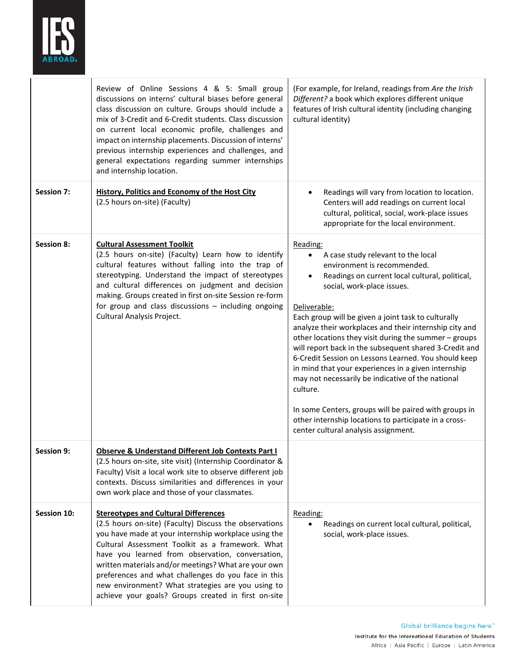

|                   | Review of Online Sessions 4 & 5: Small group<br>discussions on interns' cultural biases before general<br>class discussion on culture. Groups should include a<br>mix of 3-Credit and 6-Credit students. Class discussion<br>on current local economic profile, challenges and<br>impact on internship placements. Discussion of interns'<br>previous internship experiences and challenges, and<br>general expectations regarding summer internships<br>and internship location.                | (For example, for Ireland, readings from Are the Irish<br>Different? a book which explores different unique<br>features of Irish cultural identity (including changing<br>cultural identity)                                                                                                                                                                                                                                                                                                                                                                                                                                                                                                                                                                             |
|-------------------|--------------------------------------------------------------------------------------------------------------------------------------------------------------------------------------------------------------------------------------------------------------------------------------------------------------------------------------------------------------------------------------------------------------------------------------------------------------------------------------------------|--------------------------------------------------------------------------------------------------------------------------------------------------------------------------------------------------------------------------------------------------------------------------------------------------------------------------------------------------------------------------------------------------------------------------------------------------------------------------------------------------------------------------------------------------------------------------------------------------------------------------------------------------------------------------------------------------------------------------------------------------------------------------|
| <b>Session 7:</b> | <b>History, Politics and Economy of the Host City</b><br>(2.5 hours on-site) (Faculty)                                                                                                                                                                                                                                                                                                                                                                                                           | Readings will vary from location to location.<br>Centers will add readings on current local<br>cultural, political, social, work-place issues<br>appropriate for the local environment.                                                                                                                                                                                                                                                                                                                                                                                                                                                                                                                                                                                  |
| <b>Session 8:</b> | <b>Cultural Assessment Toolkit</b><br>(2.5 hours on-site) (Faculty) Learn how to identify<br>cultural features without falling into the trap of<br>stereotyping. Understand the impact of stereotypes<br>and cultural differences on judgment and decision<br>making. Groups created in first on-site Session re-form<br>for group and class discussions - including ongoing<br>Cultural Analysis Project.                                                                                       | Reading:<br>A case study relevant to the local<br>environment is recommended.<br>Readings on current local cultural, political,<br>$\bullet$<br>social, work-place issues.<br>Deliverable:<br>Each group will be given a joint task to culturally<br>analyze their workplaces and their internship city and<br>other locations they visit during the summer - groups<br>will report back in the subsequent shared 3-Credit and<br>6-Credit Session on Lessons Learned. You should keep<br>in mind that your experiences in a given internship<br>may not necessarily be indicative of the national<br>culture.<br>In some Centers, groups will be paired with groups in<br>other internship locations to participate in a cross-<br>center cultural analysis assignment. |
| <b>Session 9:</b> | Observe & Understand Different Job Contexts Part I<br>(2.5 hours on-site, site visit) (Internship Coordinator &<br>Faculty) Visit a local work site to observe different job<br>contexts. Discuss similarities and differences in your<br>own work place and those of your classmates.                                                                                                                                                                                                           |                                                                                                                                                                                                                                                                                                                                                                                                                                                                                                                                                                                                                                                                                                                                                                          |
| Session 10:       | <b>Stereotypes and Cultural Differences</b><br>(2.5 hours on-site) (Faculty) Discuss the observations<br>you have made at your internship workplace using the<br>Cultural Assessment Toolkit as a framework. What<br>have you learned from observation, conversation,<br>written materials and/or meetings? What are your own<br>preferences and what challenges do you face in this<br>new environment? What strategies are you using to<br>achieve your goals? Groups created in first on-site | Reading:<br>Readings on current local cultural, political,<br>social, work-place issues.                                                                                                                                                                                                                                                                                                                                                                                                                                                                                                                                                                                                                                                                                 |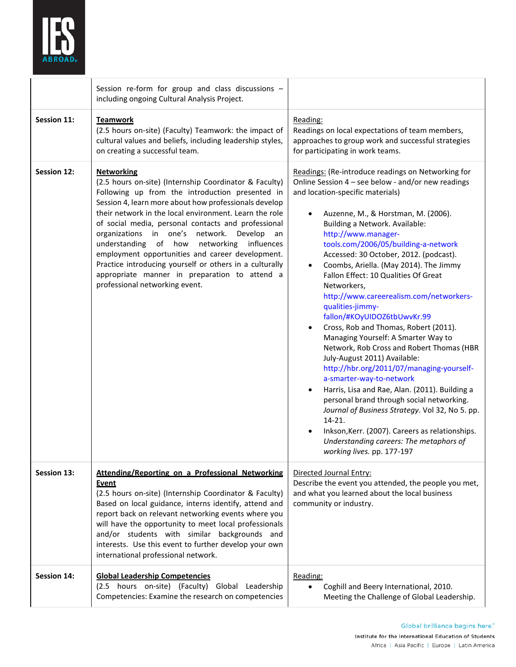

|                    | Session re-form for group and class discussions -<br>including ongoing Cultural Analysis Project.                                                                                                                                                                                                                                                                                                                                                                                                                                                                                                               |                                                                                                                                                                                                                                                                                                                                                                                                                                                                                                                                                                                                                                                                                                                                                                                                                                                                                                                                                                                                                                                                            |
|--------------------|-----------------------------------------------------------------------------------------------------------------------------------------------------------------------------------------------------------------------------------------------------------------------------------------------------------------------------------------------------------------------------------------------------------------------------------------------------------------------------------------------------------------------------------------------------------------------------------------------------------------|----------------------------------------------------------------------------------------------------------------------------------------------------------------------------------------------------------------------------------------------------------------------------------------------------------------------------------------------------------------------------------------------------------------------------------------------------------------------------------------------------------------------------------------------------------------------------------------------------------------------------------------------------------------------------------------------------------------------------------------------------------------------------------------------------------------------------------------------------------------------------------------------------------------------------------------------------------------------------------------------------------------------------------------------------------------------------|
| Session 11:        | <b>Teamwork</b><br>(2.5 hours on-site) (Faculty) Teamwork: the impact of<br>cultural values and beliefs, including leadership styles,<br>on creating a successful team.                                                                                                                                                                                                                                                                                                                                                                                                                                         | Reading:<br>Readings on local expectations of team members,<br>approaches to group work and successful strategies<br>for participating in work teams.                                                                                                                                                                                                                                                                                                                                                                                                                                                                                                                                                                                                                                                                                                                                                                                                                                                                                                                      |
| Session 12:        | <b>Networking</b><br>(2.5 hours on-site) (Internship Coordinator & Faculty)<br>Following up from the introduction presented in<br>Session 4, learn more about how professionals develop<br>their network in the local environment. Learn the role<br>of social media, personal contacts and professional<br>organizations in one's network.<br>Develop<br>an<br>understanding of how<br>networking influences<br>employment opportunities and career development.<br>Practice introducing yourself or others in a culturally<br>appropriate manner in preparation to attend a<br>professional networking event. | Readings: (Re-introduce readings on Networking for<br>Online Session 4 - see below - and/or new readings<br>and location-specific materials)<br>Auzenne, M., & Horstman, M. (2006).<br>Building a Network. Available:<br>http://www.manager-<br>tools.com/2006/05/building-a-network<br>Accessed: 30 October, 2012. (podcast).<br>Coombs, Ariella. (May 2014). The Jimmy<br>$\bullet$<br>Fallon Effect: 10 Qualities Of Great<br>Networkers,<br>http://www.careerealism.com/networkers-<br>qualities-jimmy-<br>fallon/#KOyUIDOZ6tbUwvKr.99<br>Cross, Rob and Thomas, Robert (2011).<br>Managing Yourself: A Smarter Way to<br>Network, Rob Cross and Robert Thomas (HBR<br>July-August 2011) Available:<br>http://hbr.org/2011/07/managing-yourself-<br>a-smarter-way-to-network<br>Harris, Lisa and Rae, Alan. (2011). Building a<br>personal brand through social networking.<br>Journal of Business Strategy. Vol 32, No 5. pp.<br>$14-21.$<br>Inkson, Kerr. (2007). Careers as relationships.<br>Understanding careers: The metaphors of<br>working lives. pp. 177-197 |
| Session 13:        | <b>Attending/Reporting on a Professional Networking</b><br><b>Event</b><br>(2.5 hours on-site) (Internship Coordinator & Faculty)<br>Based on local guidance, interns identify, attend and<br>report back on relevant networking events where you<br>will have the opportunity to meet local professionals<br>and/or students with similar backgrounds and<br>interests. Use this event to further develop your own<br>international professional network.                                                                                                                                                      | Directed Journal Entry:<br>Describe the event you attended, the people you met,<br>and what you learned about the local business<br>community or industry.                                                                                                                                                                                                                                                                                                                                                                                                                                                                                                                                                                                                                                                                                                                                                                                                                                                                                                                 |
| <b>Session 14:</b> | <b>Global Leadership Competencies</b><br>(2.5 hours on-site) (Faculty) Global Leadership<br>Competencies: Examine the research on competencies                                                                                                                                                                                                                                                                                                                                                                                                                                                                  | Reading:<br>Coghill and Beery International, 2010.<br>Meeting the Challenge of Global Leadership.                                                                                                                                                                                                                                                                                                                                                                                                                                                                                                                                                                                                                                                                                                                                                                                                                                                                                                                                                                          |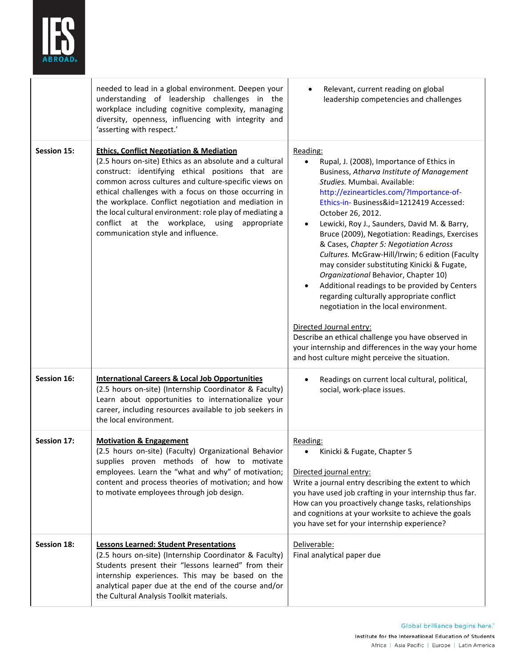

|                    | needed to lead in a global environment. Deepen your<br>understanding of leadership challenges in the<br>workplace including cognitive complexity, managing<br>diversity, openness, influencing with integrity and<br>'asserting with respect.'                                                                                                                                                                                                                                                  | Relevant, current reading on global<br>leadership competencies and challenges                                                                                                                                                                                                                                                                                                                                                                                                                                                                                                                                                                                                                                                                                                                                                                                               |
|--------------------|-------------------------------------------------------------------------------------------------------------------------------------------------------------------------------------------------------------------------------------------------------------------------------------------------------------------------------------------------------------------------------------------------------------------------------------------------------------------------------------------------|-----------------------------------------------------------------------------------------------------------------------------------------------------------------------------------------------------------------------------------------------------------------------------------------------------------------------------------------------------------------------------------------------------------------------------------------------------------------------------------------------------------------------------------------------------------------------------------------------------------------------------------------------------------------------------------------------------------------------------------------------------------------------------------------------------------------------------------------------------------------------------|
| <b>Session 15:</b> | <b>Ethics, Conflict Negotiation &amp; Mediation</b><br>(2.5 hours on-site) Ethics as an absolute and a cultural<br>construct: identifying ethical positions that are<br>common across cultures and culture-specific views on<br>ethical challenges with a focus on those occurring in<br>the workplace. Conflict negotiation and mediation in<br>the local cultural environment: role play of mediating a<br>conflict at the workplace, using appropriate<br>communication style and influence. | Reading:<br>Rupal, J. (2008), Importance of Ethics in<br>Business, Atharva Institute of Management<br>Studies. Mumbai. Available:<br>http://ezinearticles.com/?Importance-of-<br>Ethics-in- Business&id=1212419 Accessed:<br>October 26, 2012.<br>Lewicki, Roy J., Saunders, David M. & Barry,<br>Bruce (2009), Negotiation: Readings, Exercises<br>& Cases, Chapter 5: Negotiation Across<br>Cultures. McGraw-Hill/Irwin; 6 edition (Faculty<br>may consider substituting Kinicki & Fugate,<br>Organizational Behavior, Chapter 10)<br>Additional readings to be provided by Centers<br>٠<br>regarding culturally appropriate conflict<br>negotiation in the local environment.<br>Directed Journal entry:<br>Describe an ethical challenge you have observed in<br>your internship and differences in the way your home<br>and host culture might perceive the situation. |
| Session 16:        | <b>International Careers &amp; Local Job Opportunities</b><br>(2.5 hours on-site) (Internship Coordinator & Faculty)<br>Learn about opportunities to internationalize your<br>career, including resources available to job seekers in<br>the local environment.                                                                                                                                                                                                                                 | Readings on current local cultural, political,<br>٠<br>social, work-place issues.                                                                                                                                                                                                                                                                                                                                                                                                                                                                                                                                                                                                                                                                                                                                                                                           |
| Session 17:        | <b>Motivation &amp; Engagement</b><br>(2.5 hours on-site) (Faculty) Organizational Behavior<br>supplies proven methods of how to motivate<br>employees. Learn the "what and why" of motivation;<br>content and process theories of motivation; and how<br>to motivate employees through job design.                                                                                                                                                                                             | Reading:<br>Kinicki & Fugate, Chapter 5<br>Directed journal entry:<br>Write a journal entry describing the extent to which<br>you have used job crafting in your internship thus far.<br>How can you proactively change tasks, relationships<br>and cognitions at your worksite to achieve the goals<br>you have set for your internship experience?                                                                                                                                                                                                                                                                                                                                                                                                                                                                                                                        |
| Session 18:        | <b>Lessons Learned: Student Presentations</b><br>(2.5 hours on-site) (Internship Coordinator & Faculty)<br>Students present their "lessons learned" from their<br>internship experiences. This may be based on the<br>analytical paper due at the end of the course and/or<br>the Cultural Analysis Toolkit materials.                                                                                                                                                                          | Deliverable:<br>Final analytical paper due                                                                                                                                                                                                                                                                                                                                                                                                                                                                                                                                                                                                                                                                                                                                                                                                                                  |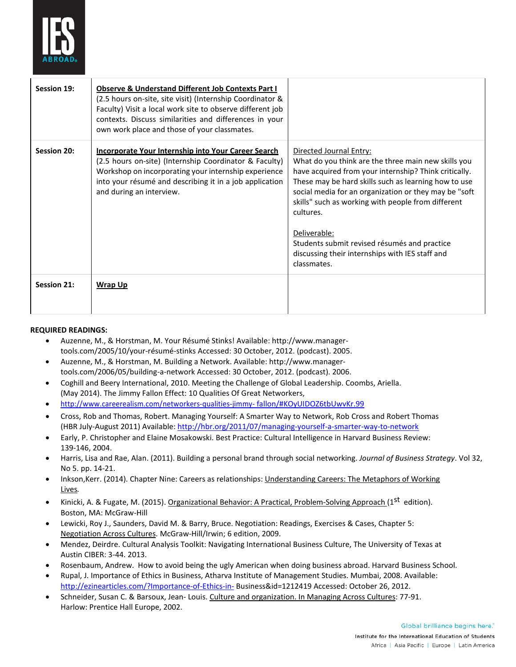

| Session 19: | Observe & Understand Different Job Contexts Part I<br>(2.5 hours on-site, site visit) (Internship Coordinator &<br>Faculty) Visit a local work site to observe different job<br>contexts. Discuss similarities and differences in your<br>own work place and those of your classmates. |                                                                                                                                                                                                                                                                                                                                                                                                                                                               |
|-------------|----------------------------------------------------------------------------------------------------------------------------------------------------------------------------------------------------------------------------------------------------------------------------------------|---------------------------------------------------------------------------------------------------------------------------------------------------------------------------------------------------------------------------------------------------------------------------------------------------------------------------------------------------------------------------------------------------------------------------------------------------------------|
| Session 20: | Incorporate Your Internship into Your Career Search<br>(2.5 hours on-site) (Internship Coordinator & Faculty)<br>Workshop on incorporating your internship experience<br>into your résumé and describing it in a job application<br>and during an interview.                           | Directed Journal Entry:<br>What do you think are the three main new skills you<br>have acquired from your internship? Think critically.<br>These may be hard skills such as learning how to use<br>social media for an organization or they may be "soft<br>skills" such as working with people from different<br>cultures.<br>Deliverable:<br>Students submit revised résumés and practice<br>discussing their internships with IES staff and<br>classmates. |
| Session 21: | <b>Wrap Up</b>                                                                                                                                                                                                                                                                         |                                                                                                                                                                                                                                                                                                                                                                                                                                                               |

#### **REQUIRED READINGS:**

- Auzenne, M., & Horstman, M. Your Résumé Stinks! Available: http://www.managertools.com/2005/10/your-résumé-stinks Accessed: 30 October, 2012. (podcast). 2005.
- Auzenne, M., & Horstman, M. Building a Network. Available: http://www.managertools.com/2006/05/building-a-network Accessed: 30 October, 2012. (podcast). 2006.
- Coghill and Beery International, 2010. Meeting the Challenge of Global Leadership. Coombs, Ariella. (May 2014). The Jimmy Fallon Effect: 10 Qualities Of Great Networkers,
- [http://www.careerealism.com/networkers-qualities-jimmy-](http://www.careerealism.com/networkers-qualities-jimmy-fallon/#KOyUIDOZ6tbUwvKr.99) [fallon/#KOyUIDOZ6tbUwvKr.99](http://www.careerealism.com/networkers-qualities-jimmy-fallon/#KOyUIDOZ6tbUwvKr.99)
- Cross, Rob and Thomas, Robert. Managing Yourself: A Smarter Way to Network, Rob Cross and Robert Thomas (HBR July-August 2011) Available[: http://hbr.org/2011/07/managing-yourself-a-smarter-way-to-network](http://hbr.org/2011/07/managing-yourself-a-smarter-way-to-network)
- Early, P. Christopher and Elaine Mosakowski. Best Practice: Cultural Intelligence in Harvard Business Review: 139-146, 2004.
- Harris, Lisa and Rae, Alan. (2011). Building a personal brand through social networking. *Journal of Business Strategy*. Vol 32, No 5. pp. 14-21.
- Inkson, Kerr. (2014). Chapter Nine: Careers as relationships: Understanding Careers: The Metaphors of Working Lives*.*
- Kinicki, A. & Fugate, M. (2015). Organizational Behavior: A Practical, Problem-Solving Approach (1<sup>st</sup> edition). Boston, MA: McGraw-Hill
- Lewicki, Roy J., Saunders, David M. & Barry, Bruce. Negotiation: Readings, Exercises & Cases, Chapter 5: Negotiation Across Cultures. McGraw-Hill/Irwin; 6 edition, 2009.
- Mendez, Deirdre. Cultural Analysis Toolkit: Navigating International Business Culture, The University of Texas at Austin CIBER: 3-44. 2013.
- Rosenbaum, Andrew. How to avoid being the ugly American when doing business abroad. Harvard Business School.
- Rupal, J. Importance of Ethics in Business, Atharva Institute of Management Studies. Mumbai, 2008. Available: <http://ezinearticles.com/?Importance-of-Ethics-in-> Business&id=1212419 Accessed: October 26, 2012.
- Schneider, Susan C. & Barsoux, Jean- Louis. Culture and organization. In Managing Across Cultures: 77-91. Harlow: Prentice Hall Europe, 2002.